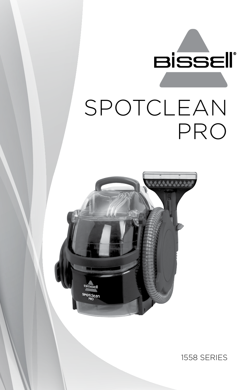



1558 SERIES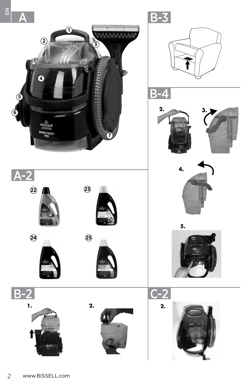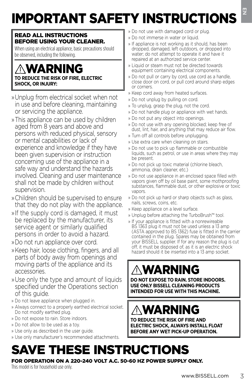# IMPORTANT SAFETY INSTRUCTIONS

#### READ ALL INSTRUCTIONS BEFORE USING YOUR CLEANER.

When using an electrical appliance, basic precautions should be observed, including the following.

## WARNING **TO REDUCE THE RISK OF FIRE, ELECTRIC SHOCK, OR INJURY:**

- » Unplug from electrical socket when not in use and before cleaning, maintaining or servicing the appliance.
- » This appliance can be used by children aged from 8 years and above and persons with reduced physical, sensory or mental capabilities or lack of experience and knowledge if they have been given supervision or instruction concerning use of the appliance in a safe way and understand the hazards involved. Cleaning and user maintenance shall not be made by children without supervision.
- » Children should be supervised to ensure that they do not play with the appliance.
- » If the supply cord is damaged, it must be replaced by the manufacturer, its service agent or similarly qualified persons in order to avoid a hazard.
- » Do not run appliance over cord.
- » Keep hair, loose clothing, fingers, and all parts of body away from openings and moving parts of the appliance and its accessories.
- » Use only the type and amount of liquids specified under the Operations section of this guide.
- » Do not leave appliance when plugged in.
- » Always connect to a properly earthed electrical socket. Do not modify earthed plug.
- » Do not expose to rain. Store indoors.
- » Do not allow to be used as a toy.
- » Use only as described in the user guide.
- » Use only manufacturer's recommended attachments.
- » Do not use with damaged cord or plug.
- » Do not immerse in water or liquid.
- » If appliance is not working as it should, has been dropped, damaged, left outdoors, or dropped into water; do not attempt to operate it and have it repaired at an authorized service center.
- » Liquid or steam must not be directed towards equipment containing electrical components.
- » Do not pull or carry by cord, use cord as a handle, close door on cord, or pull cord around sharp edges or corners.
- » Keep cord away from heated surfaces.
- » Do not unplug by pulling on cord.
- » To unplug, grasp the plug, not the cord.
- » Do not handle plug or appliance with wet hands.
- » Do not put any object into openings.
- » Do not use with any opening blocked; keep free of dust, lint, hair, and anything that may reduce air flow.
- » Turn off all controls before unplugging.
- » Use extra care when cleaning on stairs.
- » Do not use to pick up flammable or combustible liquids, such as petrol, or use in areas where they may be present.
- » Do not pick up toxic material (chlorine bleach, ammonia, drain cleaner, etc.)
- » Do not use appliance in an enclosed space filled with vapors given off by oil base paint, some mothproofing substances, flammable dust, or other explosive or toxic vapors.
- » Do not pick up hard or sharp objects such as glass, nails, screws, coins, etc.
- » Keep appliance on a level surface.
- » Unplug before attaching the TurboBrush™ tool.
- **Example 18**<br>
a cord or plug,<br>
a criquid,<br>
a criquid,<br>
and shown<br>
strivice center.<br>
strivice center.<br>
be directed towards<br>
be directed towards<br>
to the direct of diversion of the section<br>
and a a handle,<br>
and a round sharp » If your appliance is fitted with a nonrewireable BS 1363 plug it must not be used unless a 13 amp (ASTA approved to BS 1362) fuse is fitted in the carrier contained in the plug. Spares may be obtained from your BISSELL supplier. If for any reason the plug is cut off, it must be disposed of, as it is an electric shock hazard should it be inserted into a 13 amp socket.

# WARNING

**DO NOT EXPOSE TO RAIN. STORE INDOORS. USE ONLY BISSELL CLEANING PRODUCTS INTENDED FOR USE WITH THIS MACHINE.**

# WARNING

**TO REDUCE THE RISK OF FIRE AND ELECTRIC SHOCK, ALWAYS INSTALL FLOAT BEFORE ANY WET PICK-UP OPERATION.**

# SAVE THESE INSTRUCTIONS

#### FOR OPERATION ON A 220-240 VOLT A.C. 50-60 HZ POWER SUPPLY ONLY.

This model is for household use only.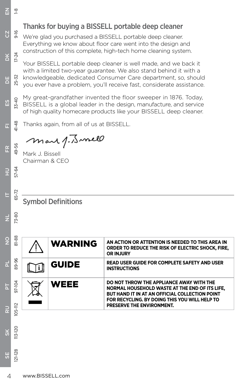## Thanks for buying a BISSELL portable deep cleaner

mar 1. J. mell

Mark J. Bissell Chairman & CEO

 $\leq$  $\frac{8}{1}$ 

**N** 

DK

DE

ES

 $\overline{\mathbb{L}}$ 

FR

 $3 - 80$ 

HU

**I** 

 $\overline{\mathsf{z}}$ 

 $\frac{9}{5}$ 

 $\overline{\mathtt{a}}$ 

h.

RU

 $\breve{\mathbf{s}}$ 

113-120

SE

| $-16$              | We're glad you purchased a BISSELL portable deep cleaner.<br>Everything we know about floor care went into the design and<br>construction of this complete, high-tech home cleaning system.                                                                                    |              |                                                                                                                                              |
|--------------------|--------------------------------------------------------------------------------------------------------------------------------------------------------------------------------------------------------------------------------------------------------------------------------|--------------|----------------------------------------------------------------------------------------------------------------------------------------------|
| $17 - 24$<br>25-32 | Your BISSELL portable deep cleaner is well made, and we back it<br>with a limited two-year guarantee. We also stand behind it with a<br>knowledgeable, dedicated Consumer Care department, so, should<br>you ever have a problem, you'll receive fast, considerate assistance. |              |                                                                                                                                              |
| $33 - 40$          | My great-grandfather invented the floor sweeper in 1876. Today,<br>BISSELL is a global leader in the design, manufacture, and service<br>of high quality homecare products like your BISSELL deep cleaner.                                                                     |              |                                                                                                                                              |
| 41-48              | Thanks again, from all of us at BISSELL.                                                                                                                                                                                                                                       |              |                                                                                                                                              |
|                    | mar 1. J. mell                                                                                                                                                                                                                                                                 |              |                                                                                                                                              |
| 49-56              | Mark J. Bissell<br>Chairman & CEO                                                                                                                                                                                                                                              |              |                                                                                                                                              |
| 57-64              |                                                                                                                                                                                                                                                                                |              |                                                                                                                                              |
| 65-72              |                                                                                                                                                                                                                                                                                |              |                                                                                                                                              |
|                    | <b>Symbol Definitions</b>                                                                                                                                                                                                                                                      |              |                                                                                                                                              |
| 73-80              |                                                                                                                                                                                                                                                                                |              |                                                                                                                                              |
| 81-88              |                                                                                                                                                                                                                                                                                | WARNING      | AN ACTION OR ATTENTION IS NEEDED TO THIS AREA IN<br>ORDER TO REDUCE THE RISK OF ELECTRIC SHOCK, FIRE,<br><b>OR INJURY</b>                    |
| 89-96              |                                                                                                                                                                                                                                                                                | <b>GUIDE</b> | <b>READ USER GUIDE FOR COMPLETE SAFETY AND USER</b><br><b>INSTRUCTIONS</b>                                                                   |
| 97-104             |                                                                                                                                                                                                                                                                                | WEEE         | DO NOT THROW THE APPLIANCE AWAY WITH THE<br>NORMAL HOUSEHOLD WASTE AT THE END OF ITS LIFE.<br>BUT HAND IT IN AT AN OFFICIAL COLLECTION POINT |
| 105-112            |                                                                                                                                                                                                                                                                                |              | FOR RECYCLING. BY DOING THIS YOU WILL HELP TO<br>PRESERVE THE ENVIRONMENT.                                                                   |
|                    |                                                                                                                                                                                                                                                                                |              |                                                                                                                                              |
| $113 - 120$        |                                                                                                                                                                                                                                                                                |              |                                                                                                                                              |
| $121 - 128$        |                                                                                                                                                                                                                                                                                |              |                                                                                                                                              |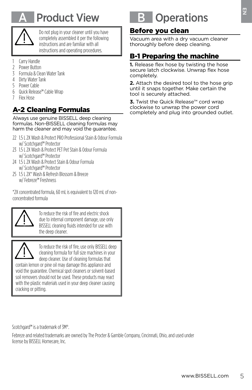

# **Product View**



Do not plug in your cleaner until you have completely assembled it per the following instructions and are familiar with all instructions and operating procedures.

- 1 Carry Handle
- 2 Power Button<br>3 Formula & Clea
- Formula & Clean Water Tank
- 4 Dirty Water Tank<br>5 Power Cable
- Power Cable
- 6 Quick Release™ Cable Wrap
- 7 Flex Hose

## A-2 Cleaning Formulas

Always use genuine BISSELL deep cleaning formulas. Non-BISSELL cleaning formulas may harm the cleaner and may void the guarantee.

- 22 1.5 L 2X Wash & Protect PRO Professional Stain & Odour Formula w/ Scotchgard™ Protector
- 23 1.5 L 2X Wash & Protect PET Pet Stain & Odour Formula w/ Scotchgard™ Protector
- 24 1.5 L 2X Wash & Protect Stain & Odour Formula w/ Scotchgard™ Protector
- 25 1.5 L 2X\* Wash & Refresh Blossom & Breeze w/ Febreze™ Freshness

\*2X concentrated formula, 60 mL is equivalent to 120 mL of nonconcentrated formula



To reduce the risk of fire and electric shock due to internal component damage, use only BISSELL cleaning fluids intended for use with the deep cleaner.



To reduce the risk of fire, use only BISSELL deep cleaning formula for full size machines in your deep cleaner. Use of cleaning formulas that contain lemon or pine oil may damage this appliance and

void the guarantee. Chemical spot cleaners or solvent-based soil removers should not be used. These products may react with the plastic materials used in your deep cleaner causing cracking or pitting.

# **Operations**

### Before you clean

Vacuum area with a dry vacuum cleaner thoroughly before deep cleaning.

### B-1 Preparing the machine

**1.** Release flex hose by twisting the hose secure latch clockwise. Unwrap flex hose completely.

**Example 18**<br> **an**<br> **he machine**<br> **he machine**<br> **y** twisting the hose<br> **e.** Unwrap flex hose<br>
tool to the hose grip<br>
r. Make certain the<br>
red.<br>
the power cord<br>
the power cord<br>
into grounded outlet.<br>
<br> **dunder**<br>
<br> **dunder**<br> **2.** Attach the desired tool to the hose grip until it snaps together. Make certain the tool is securely attached.

**3.** Twist the Quick Release™ cord wrap clockwise to unwrap the power cord completely and plug into grounded outlet.

Scotchgard™ is a trademark of 3M®.

Febreze and related trademarks are owned by The Procter & Gamble Company, Cincinnati, Ohio, and used under license by BISSELL Homecare, Inc.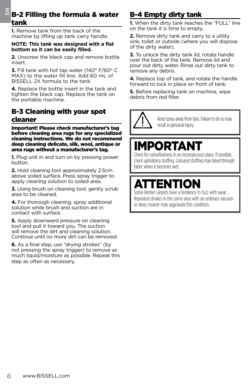# $\frac{Z}{Z}$  B-2 Filling the formula & water<br>Lank

**1.** Remove tank from the back of the machine by lifting up tank carry handle.

#### **NOTE: This tank was designed with a flat bottom so it can be easily filled.**

**2.** Unscrew the black cap and remove bottle insert.

**3.** Fill tank with hot tap water (140° F/60° C MAX) to the water fill line. Add 60 mL of BISSELL 2X formula to the tank.

**4.** Replace the bottle insert in the tank and tighten the black cap. Replace the tank on the portable machine.

### B-3 Cleaning with your spot cleaner

6 www.BISSELL.com EN B-2 Filling the formula & water Important! Please check manufacturer's tag before cleaning area rugs for any specialized cleaning instructions. We do not recommend deep cleaning delicate, silk, wool, antique or area rugs without a manufacturer's tag.

**1.** Plug unit in and turn on by pressing power button.

**2.** Hold cleaning tool approximately 2.5cm above soiled surface. Press spray trigger to apply cleaning solution to soiled area.

**3.** Using brush on cleaning tool, gently scrub area to be cleaned.

**4.** For thorough cleaning, spray additional solution while brush and suction are in contact with surface.

**5.** Apply downward pressure on cleaning tool and pull it toward you. The suction will remove the dirt and cleaning solution. Continue until no more dirt can be removed.

**6.** As a final step, use "drying strokes" (by not pressing the spray trigger) to remove as much liquid/moisture as possible. Repeat this step as often as necessary.

## B-4 Empty dirty tank

**1.** When the dirty tank reaches the "FULL" line on the tank it is time to empty.

**2.** Remove dirty tank and carry to a utility sink, toilet or outside (where you will dispose of the dirty water).

**3.** To unlock the dirty tank lid, rotate handle over the back of the tank. Remove lid and pour out dirty water. Rinse out dirty tank to remove any debris.

**4.** Replace top of tank, and rotate the handle forward to lock in place on front of tank.

**5.** Before replacing tank on machine, wipe debris from red filter.

> Keep spray away from face. Failure to do so may result in personal injury.

# IMPORTANT

Check for colourfastness in an inconspicuous place. If possible, check upholstery stuffing. Coloured stuffing may bleed through fabric when it becomes wet.

# TENTION

Some Berber carpets have a tendency to fuzz with wear. Repeated strokes in the same area with an ordinary vacuum or deep cleaner may aggravate this condition.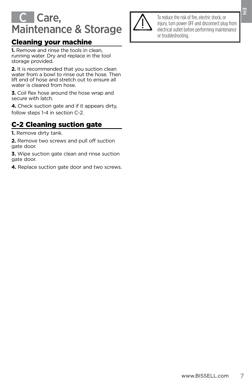## Care, Maintenance & Storage

### Cleaning your machine

**1.** Remove and rinse the tools in clean, running water. Dry and replace in the tool storage provided.

**2.** It is recommended that you suction clean water from a bowl to rinse out the hose. Then lift end of hose and stretch out to ensure all water is cleared from hose.

**3.** Coil flex hose around the hose wrap and secure with latch.

**4.** Check suction gate and if it appears dirty, follow steps 1-4 in section C-2.

### C-2 Cleaning suction gate

**1.** Remove dirty tank.

**2.** Remove two screws and pull off suction gate door.

**3.** Wipe suction gate clean and rinse suction gate door.

**4.** Replace suction gate door and two screws.



risk of fire, electric shock, or<br>wer OFF and disconnect plug from<br>the before performing maintenance<br>ting. To reduce the risk of fire, electric shock, or injury, turn power OFF and disconnect plug from electrical outlet before performing maintenance or troubleshooting.